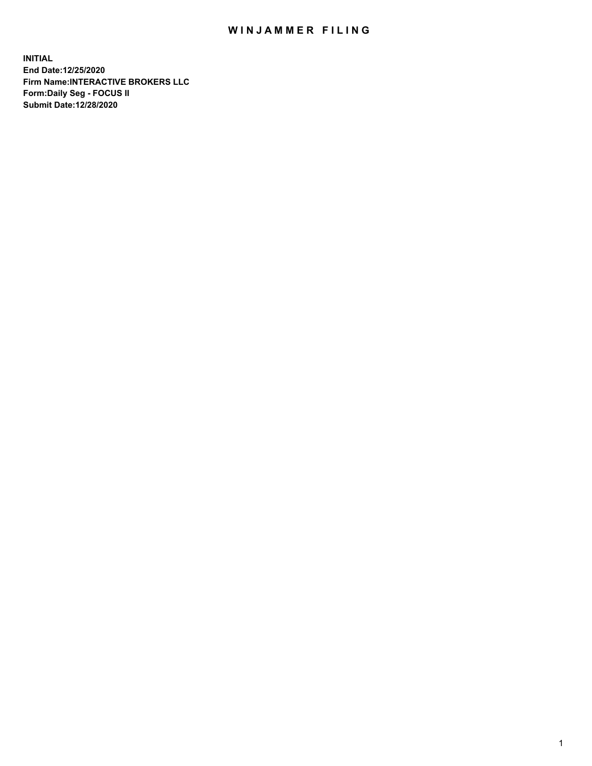## WIN JAMMER FILING

**INITIAL End Date:12/25/2020 Firm Name:INTERACTIVE BROKERS LLC Form:Daily Seg - FOCUS II Submit Date:12/28/2020**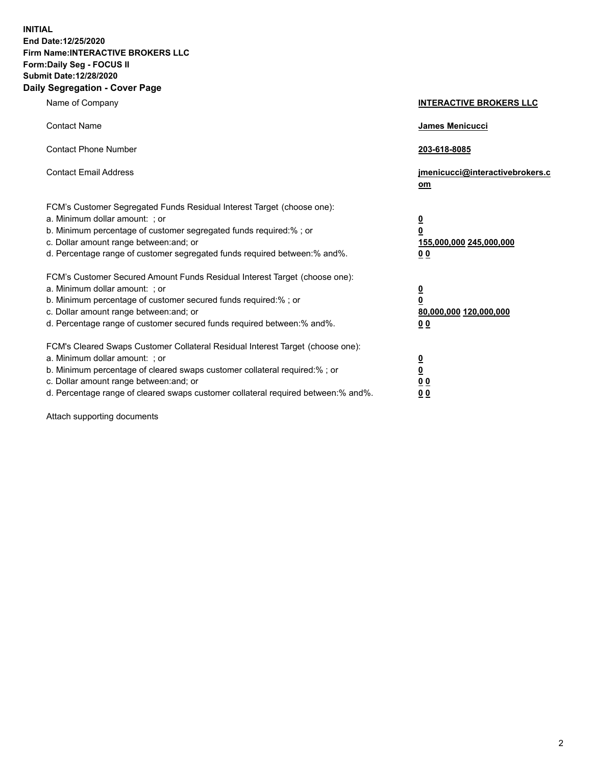**INITIAL End Date:12/25/2020 Firm Name:INTERACTIVE BROKERS LLC Form:Daily Seg - FOCUS II Submit Date:12/28/2020 Daily Segregation - Cover Page**

| Name of Company                                                                                                                                                                                                                                                                                                                | <b>INTERACTIVE BROKERS LLC</b>                                                  |  |
|--------------------------------------------------------------------------------------------------------------------------------------------------------------------------------------------------------------------------------------------------------------------------------------------------------------------------------|---------------------------------------------------------------------------------|--|
| <b>Contact Name</b>                                                                                                                                                                                                                                                                                                            | James Menicucci                                                                 |  |
| <b>Contact Phone Number</b>                                                                                                                                                                                                                                                                                                    | 203-618-8085                                                                    |  |
| <b>Contact Email Address</b>                                                                                                                                                                                                                                                                                                   | jmenicucci@interactivebrokers.c<br>om                                           |  |
| FCM's Customer Segregated Funds Residual Interest Target (choose one):<br>a. Minimum dollar amount: ; or<br>b. Minimum percentage of customer segregated funds required:%; or<br>c. Dollar amount range between: and; or<br>d. Percentage range of customer segregated funds required between:% and%.                          | <u>0</u><br>$\overline{\mathbf{0}}$<br>155,000,000 245,000,000<br><u>00</u>     |  |
| FCM's Customer Secured Amount Funds Residual Interest Target (choose one):<br>a. Minimum dollar amount: ; or<br>b. Minimum percentage of customer secured funds required:% ; or<br>c. Dollar amount range between: and; or<br>d. Percentage range of customer secured funds required between:% and%.                           | <u>0</u><br>$\overline{\mathbf{0}}$<br>80,000,000 120,000,000<br>0 <sub>0</sub> |  |
| FCM's Cleared Swaps Customer Collateral Residual Interest Target (choose one):<br>a. Minimum dollar amount: ; or<br>b. Minimum percentage of cleared swaps customer collateral required:% ; or<br>c. Dollar amount range between: and; or<br>d. Percentage range of cleared swaps customer collateral required between:% and%. | <u>0</u><br>$\underline{\mathbf{0}}$<br>0 <sub>0</sub><br>0 <sub>0</sub>        |  |

Attach supporting documents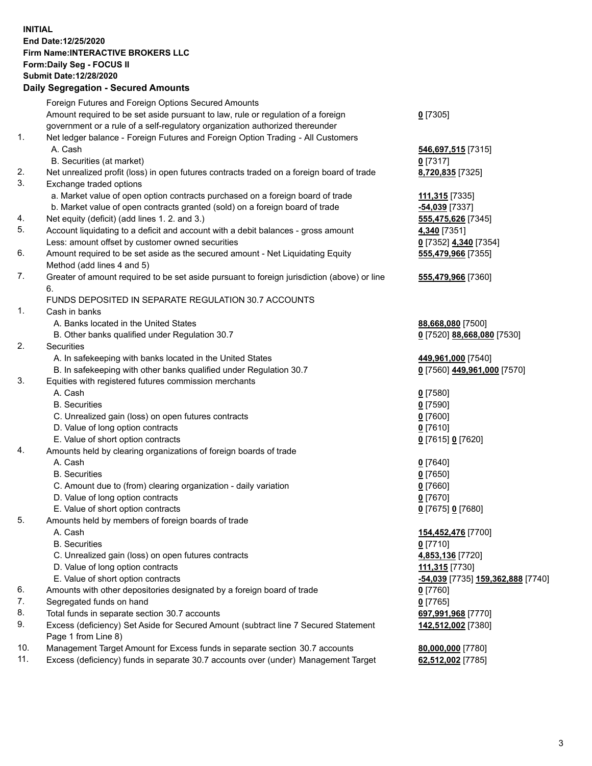**INITIAL End Date:12/25/2020 Firm Name:INTERACTIVE BROKERS LLC Form:Daily Seg - FOCUS II Submit Date:12/28/2020 Daily Segregation - Secured Amounts**

## Foreign Futures and Foreign Options Secured Amounts Amount required to be set aside pursuant to law, rule or regulation of a foreign government or a rule of a self-regulatory organization authorized thereunder **0** [7305] 1. Net ledger balance - Foreign Futures and Foreign Option Trading - All Customers A. Cash **546,697,515** [7315] B. Securities (at market) **0** [7317] 2. Net unrealized profit (loss) in open futures contracts traded on a foreign board of trade **8,720,835** [7325] 3. Exchange traded options a. Market value of open option contracts purchased on a foreign board of trade **111,315** [7335] b. Market value of open contracts granted (sold) on a foreign board of trade **-54,039** [7337] 4. Net equity (deficit) (add lines 1. 2. and 3.) **555,475,626** [7345] 5. Account liquidating to a deficit and account with a debit balances - gross amount **4,340** [7351] Less: amount offset by customer owned securities **0** [7352] **4,340** [7354] 6. Amount required to be set aside as the secured amount - Net Liquidating Equity Method (add lines 4 and 5) **555,479,966** [7355] 7. Greater of amount required to be set aside pursuant to foreign jurisdiction (above) or line 6. **555,479,966** [7360] FUNDS DEPOSITED IN SEPARATE REGULATION 30.7 ACCOUNTS 1. Cash in banks A. Banks located in the United States **88,668,080** [7500] B. Other banks qualified under Regulation 30.7 **0** [7520] **88,668,080** [7530] 2. Securities A. In safekeeping with banks located in the United States **449,961,000** [7540] B. In safekeeping with other banks qualified under Regulation 30.7 **0** [7560] **449,961,000** [7570] 3. Equities with registered futures commission merchants A. Cash **0** [7580] B. Securities **0** [7590] C. Unrealized gain (loss) on open futures contracts **0** [7600] D. Value of long option contracts **0** [7610] E. Value of short option contracts **0** [7615] **0** [7620] 4. Amounts held by clearing organizations of foreign boards of trade A. Cash **0** [7640] B. Securities **0** [7650] C. Amount due to (from) clearing organization - daily variation **0** [7660] D. Value of long option contracts **0** [7670] E. Value of short option contracts **0** [7675] **0** [7680] 5. Amounts held by members of foreign boards of trade A. Cash **154,452,476** [7700] B. Securities **0** [7710] C. Unrealized gain (loss) on open futures contracts **4,853,136** [7720] D. Value of long option contracts **111,315** [7730] E. Value of short option contracts **-54,039** [7735] **159,362,888** [7740] 6. Amounts with other depositories designated by a foreign board of trade **0** [7760] 7. Segregated funds on hand **0** [7765] 8. Total funds in separate section 30.7 accounts **697,991,968** [7770] 9. Excess (deficiency) Set Aside for Secured Amount (subtract line 7 Secured Statement Page 1 from Line 8) **142,512,002** [7380] 10. Management Target Amount for Excess funds in separate section 30.7 accounts **80,000,000** [7780] 11. Excess (deficiency) funds in separate 30.7 accounts over (under) Management Target **62,512,002** [7785]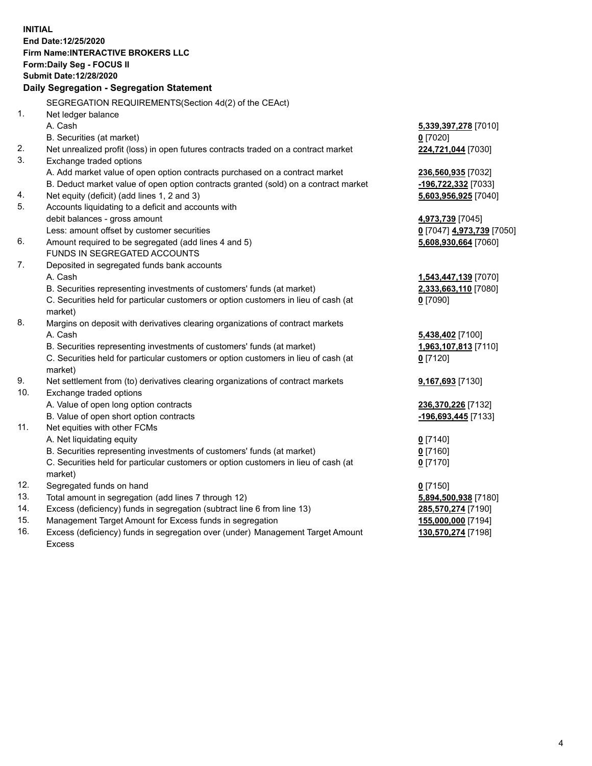**INITIAL End Date:12/25/2020 Firm Name:INTERACTIVE BROKERS LLC Form:Daily Seg - FOCUS II Submit Date:12/28/2020 Daily Segregation - Segregation Statement** SEGREGATION REQUIREMENTS(Section 4d(2) of the CEAct) 1. Net ledger balance A. Cash **5,339,397,278** [7010] B. Securities (at market) **0** [7020] 2. Net unrealized profit (loss) in open futures contracts traded on a contract market **224,721,044** [7030] 3. Exchange traded options A. Add market value of open option contracts purchased on a contract market **236,560,935** [7032] B. Deduct market value of open option contracts granted (sold) on a contract market **-196,722,332** [7033] 4. Net equity (deficit) (add lines 1, 2 and 3) **5,603,956,925** [7040] 5. Accounts liquidating to a deficit and accounts with debit balances - gross amount **4,973,739** [7045] Less: amount offset by customer securities **0** [7047] **4,973,739** [7050] 6. Amount required to be segregated (add lines 4 and 5) **5,608,930,664** [7060] FUNDS IN SEGREGATED ACCOUNTS 7. Deposited in segregated funds bank accounts A. Cash **1,543,447,139** [7070] B. Securities representing investments of customers' funds (at market) **2,333,663,110** [7080] C. Securities held for particular customers or option customers in lieu of cash (at market) **0** [7090] 8. Margins on deposit with derivatives clearing organizations of contract markets A. Cash **5,438,402** [7100] B. Securities representing investments of customers' funds (at market) **1,963,107,813** [7110] C. Securities held for particular customers or option customers in lieu of cash (at market) **0** [7120] 9. Net settlement from (to) derivatives clearing organizations of contract markets **9,167,693** [7130] 10. Exchange traded options A. Value of open long option contracts **236,370,226** [7132] B. Value of open short option contracts **-196,693,445** [7133] 11. Net equities with other FCMs A. Net liquidating equity **0** [7140] B. Securities representing investments of customers' funds (at market) **0** [7160] C. Securities held for particular customers or option customers in lieu of cash (at market) **0** [7170] 12. Segregated funds on hand **0** [7150] 13. Total amount in segregation (add lines 7 through 12) **5,894,500,938** [7180] 14. Excess (deficiency) funds in segregation (subtract line 6 from line 13) **285,570,274** [7190] 15. Management Target Amount for Excess funds in segregation **155,000,000** [7194] 16. Excess (deficiency) funds in segregation over (under) Management Target Amount **130,570,274** [7198]

Excess